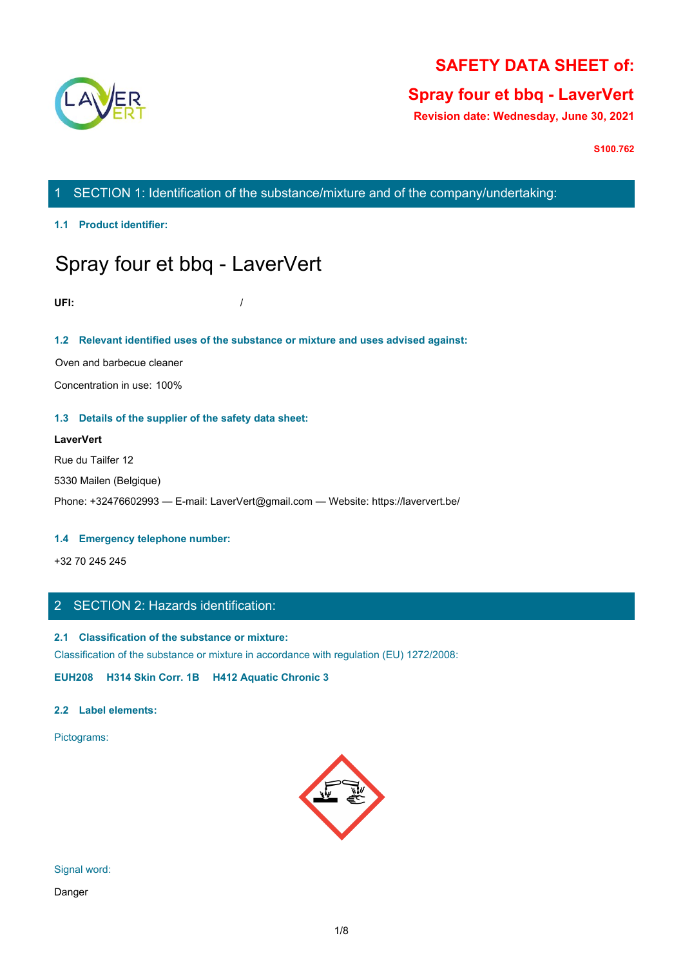

## **SAFETY DATA SHEET of:**

## **Spray four et bbq - LaverVert**

**Revision date: Wednesday, June 30, 2021**

**S100.762**

1 SECTION 1: Identification of the substance/mixture and of the company/undertaking:

**1.1 Product identifier:**

# Spray four et bbq - LaverVert

**UFI:** /

## **1.2 Relevant identified uses of the substance or mixture and uses advised against:**

Oven and barbecue cleaner

Concentration in use: 100%

### **1.3 Details of the supplier of the safety data sheet:**

## **LaverVert**

Rue du Tailfer 12 5330 Mailen (Belgique) Phone: +32476602993 — E-mail: LaverVert@gmail.com — Website: https://laververt.be/

## **1.4 Emergency telephone number:**

+32 70 245 245

## 2 SECTION 2: Hazards identification:

## **2.1 Classification of the substance or mixture:**

Classification of the substance or mixture in accordance with regulation (EU) 1272/2008:

**EUH208 H314 Skin Corr. 1B H412 Aquatic Chronic 3**

### **2.2 Label elements:**

Pictograms:



Signal word:

Danger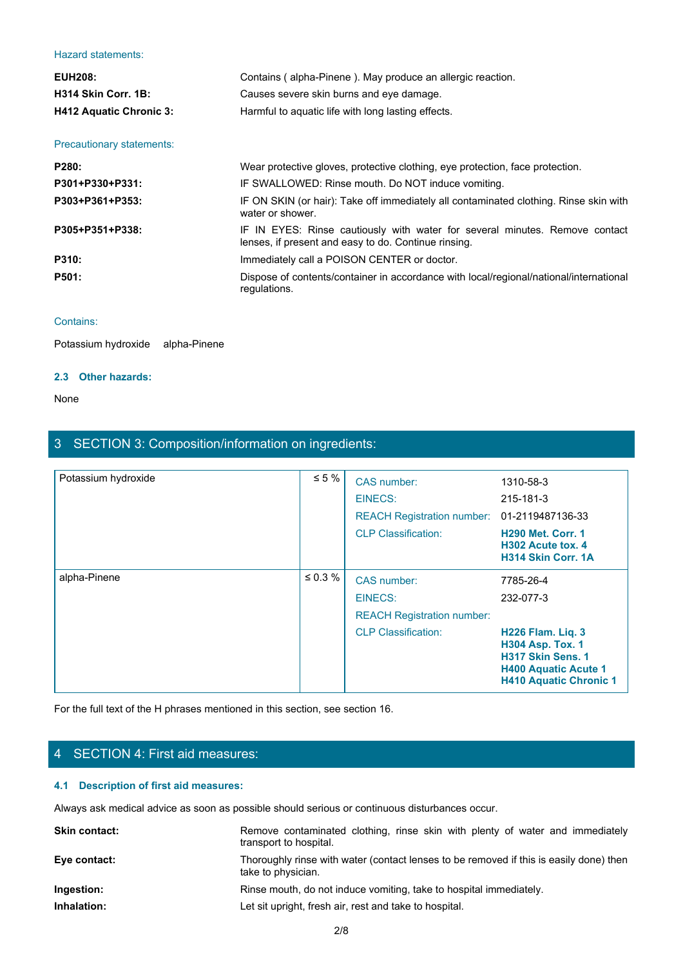#### Hazard statements:

| <b>Hazard statements:</b> |                                                                                                                                     |  |
|---------------------------|-------------------------------------------------------------------------------------------------------------------------------------|--|
| <b>EUH208:</b>            | Contains (alpha-Pinene). May produce an allergic reaction.                                                                          |  |
| H314 Skin Corr. 1B:       | Causes severe skin burns and eye damage.                                                                                            |  |
| H412 Aquatic Chronic 3:   | Harmful to aquatic life with long lasting effects.                                                                                  |  |
| Precautionary statements: |                                                                                                                                     |  |
| P280:                     | Wear protective gloves, protective clothing, eye protection, face protection.                                                       |  |
| P301+P330+P331:           | IF SWALLOWED: Rinse mouth. Do NOT induce vomiting.                                                                                  |  |
| P303+P361+P353:           | IF ON SKIN (or hair): Take off immediately all contaminated clothing. Rinse skin with<br>water or shower.                           |  |
| P305+P351+P338:           | IF IN EYES: Rinse cautiously with water for several minutes. Remove contact<br>lenses, if present and easy to do. Continue rinsing. |  |
| P310:                     | Immediately call a POISON CENTER or doctor.                                                                                         |  |
| P501:                     | Dispose of contents/container in accordance with local/regional/national/international<br>regulations.                              |  |
|                           |                                                                                                                                     |  |

## Contains:

Potassium hydroxide alpha-Pinene

#### **2.3 Other hazards:**

None with the contract of the contract of the contract of the contract of the contract of the contract of the contract of the contract of the contract of the contract of the contract of the contract of the contract of the

## 3 SECTION 3: Composition/information on ingredients:

| Potassium hydroxide                    | $\leq 5 \%$                                                                                    | CAS number:                                                                            | 1310-58-3                                                                                                                                |
|----------------------------------------|------------------------------------------------------------------------------------------------|----------------------------------------------------------------------------------------|------------------------------------------------------------------------------------------------------------------------------------------|
|                                        |                                                                                                | EINECS:                                                                                | 215-181-3                                                                                                                                |
|                                        |                                                                                                | <b>REACH Registration number:</b>                                                      | 01-2119487136-33                                                                                                                         |
|                                        |                                                                                                | <b>CLP Classification:</b>                                                             | <b>H290 Met. Corr. 1</b><br>H302 Acute tox. 4<br>H314 Skin Corr. 1A                                                                      |
| alpha-Pinene                           | $\leq 0.3 \%$                                                                                  | CAS number:                                                                            | 7785-26-4                                                                                                                                |
|                                        |                                                                                                | <b>EINECS:</b>                                                                         | 232-077-3                                                                                                                                |
|                                        |                                                                                                | <b>REACH Registration number:</b>                                                      |                                                                                                                                          |
|                                        |                                                                                                | <b>CLP Classification:</b>                                                             | <b>H226 Flam. Lig. 3</b><br><b>H304 Asp. Tox. 1</b><br>H317 Skin Sens. 1<br><b>H400 Aquatic Acute 1</b><br><b>H410 Aquatic Chronic 1</b> |
|                                        | For the full text of the H phrases mentioned in this section, see section 16.                  |                                                                                        |                                                                                                                                          |
| 4 SECTION 4: First aid measures:       |                                                                                                |                                                                                        |                                                                                                                                          |
| 4.1 Description of first aid measures: |                                                                                                |                                                                                        |                                                                                                                                          |
|                                        | Always ask medical advice as soon as possible should serious or continuous disturbances occur. |                                                                                        |                                                                                                                                          |
| Skin contact:                          | transport to hospital.                                                                         | Remove contaminated clothing, rinse skin with plenty of water and immediately          |                                                                                                                                          |
| Eye contact:                           | take to physician.                                                                             | Thoroughly rinse with water (contact lenses to be removed if this is easily done) then |                                                                                                                                          |
| Ingestion:                             |                                                                                                | Rinse mouth, do not induce vomiting, take to hospital immediately.                     |                                                                                                                                          |
| Inhalation:                            |                                                                                                | Let sit upright, fresh air, rest and take to hospital.                                 |                                                                                                                                          |
|                                        |                                                                                                |                                                                                        |                                                                                                                                          |

## 4 SECTION 4: First aid measures:

## **4.1 Description of first aid measures:**

| <b>Skin contact:</b> | Remove contaminated clothing, rinse skin with plenty of water and immediately<br>transport to hospital.      |
|----------------------|--------------------------------------------------------------------------------------------------------------|
| Eye contact:         | Thoroughly rinse with water (contact lenses to be removed if this is easily done) then<br>take to physician. |
| Ingestion:           | Rinse mouth, do not induce vomiting, take to hospital immediately.                                           |
| Inhalation:          | Let sit upright, fresh air, rest and take to hospital.                                                       |
|                      |                                                                                                              |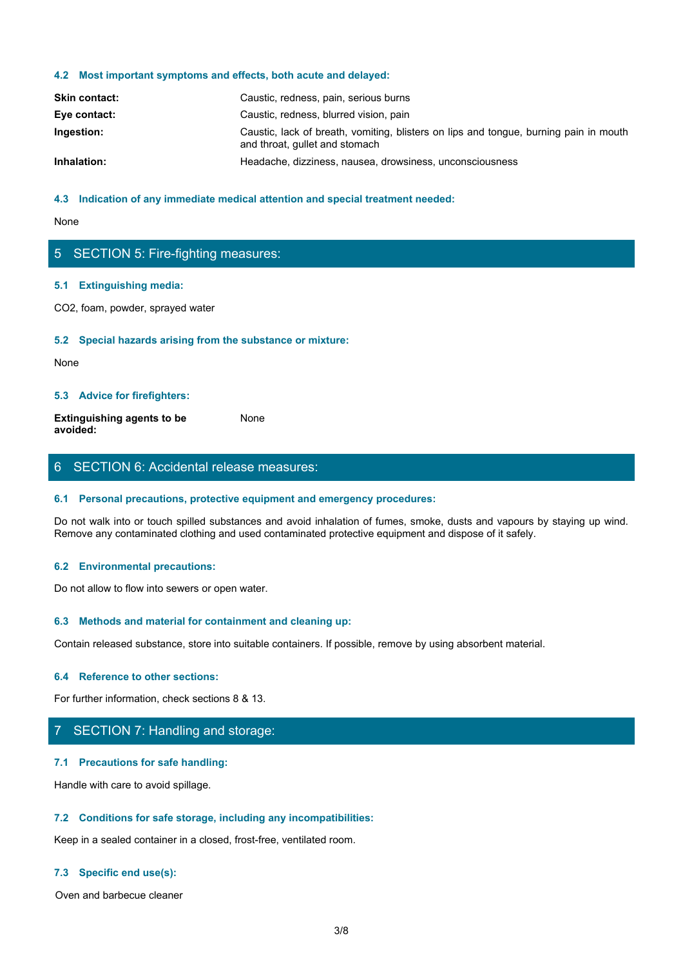#### **4.2 Most important symptoms and effects, both acute and delayed:**

| <b>Skin contact:</b> | Caustic, redness, pain, serious burns                                                                                   |
|----------------------|-------------------------------------------------------------------------------------------------------------------------|
| Eye contact:         | Caustic, redness, blurred vision, pain                                                                                  |
| Ingestion:           | Caustic, lack of breath, vomiting, blisters on lips and tongue, burning pain in mouth<br>and throat, gullet and stomach |
| Inhalation:          | Headache, dizziness, nausea, drowsiness, unconsciousness                                                                |

#### **4.3 Indication of any immediate medical attention and special treatment needed:**

None with the contract of the contract of the contract of the contract of the contract of the contract of the contract of the contract of the contract of the contract of the contract of the contract of the contract of the

### 5 SECTION 5: Fire-fighting measures:

#### **5.1 Extinguishing media:**

CO2, foam, powder, sprayed water

#### **5.2 Special hazards arising from the substance or mixture:**

None with the contract of the contract of the contract of the contract of the contract of the contract of the contract of the contract of the contract of the contract of the contract of the contract of the contract of the

#### **5.3 Advice for firefighters:**

**Extinguishing agents to be avoided:** None with the contract of the contract of the contract of the contract of the contract of the contract of the contract of the contract of the contract of the contract of the contract of the contract of the contract of the

## 6 SECTION 6: Accidental release measures:

#### **6.1 Personal precautions, protective equipment and emergency procedures:**

Do not walk into or touch spilled substances and avoid inhalation of fumes, smoke, dusts and vapours by staying up wind. Remove any contaminated clothing and used contaminated protective equipment and dispose of it safely.

#### **6.2 Environmental precautions:**

Do not allow to flow into sewers or open water.

#### **6.3 Methods and material for containment and cleaning up:**

Contain released substance, store into suitable containers. If possible, remove by using absorbent material.

#### **6.4 Reference to other sections:**

For further information, check sections 8 & 13.

## 7 SECTION 7: Handling and storage:

#### **7.1 Precautions for safe handling:**

Handle with care to avoid spillage.

#### **7.2 Conditions for safe storage, including any incompatibilities:**

Keep in a sealed container in a closed, frost-free, ventilated room.

#### **7.3 Specific end use(s):**

Oven and barbecue cleaner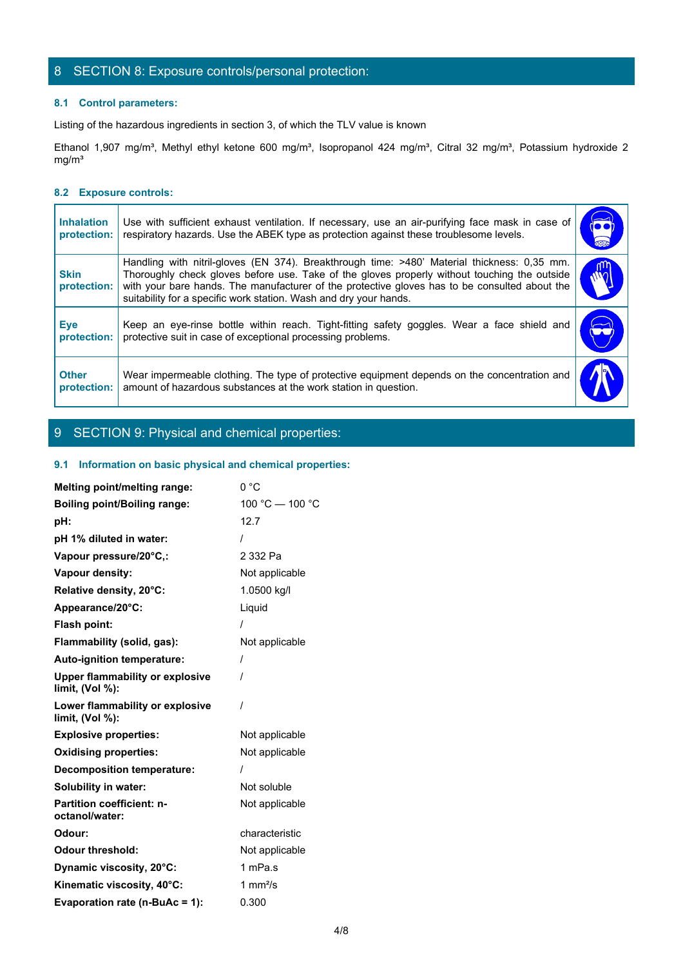## 8 SECTION 8: Exposure controls/personal protection:

#### **8.1 Control parameters:**

## **8.2 Exposure controls:**

| 8 SECTION 8: Exposure controls/personal protection:                                                                                                                                                                                                                                                                                                               |                                                                                                                                                                                                                                                                           |
|-------------------------------------------------------------------------------------------------------------------------------------------------------------------------------------------------------------------------------------------------------------------------------------------------------------------------------------------------------------------|---------------------------------------------------------------------------------------------------------------------------------------------------------------------------------------------------------------------------------------------------------------------------|
| 8.1 Control parameters:                                                                                                                                                                                                                                                                                                                                           |                                                                                                                                                                                                                                                                           |
| Listing of the hazardous ingredients in section 3, of which the TLV value is known                                                                                                                                                                                                                                                                                |                                                                                                                                                                                                                                                                           |
|                                                                                                                                                                                                                                                                                                                                                                   |                                                                                                                                                                                                                                                                           |
| 8.2 Exposure controls:                                                                                                                                                                                                                                                                                                                                            |                                                                                                                                                                                                                                                                           |
| respiratory hazards. Use the ABEK type as protection against these troublesome levels.<br>protection:                                                                                                                                                                                                                                                             |                                                                                                                                                                                                                                                                           |
| Handling with nitril-gloves (EN 374). Breakthrough time: >480' Material thickness: 0,35 mm.<br>Thoroughly check gloves before use. Take of the gloves properly without touching the outside<br>with your bare hands. The manufacturer of the protective gloves has to be consulted about the<br>suitability for a specific work station. Wash and dry your hands. | M                                                                                                                                                                                                                                                                         |
| Keep an eye-rinse bottle within reach. Tight-fitting safety goggles. Wear a face shield and<br>protective suit in case of exceptional processing problems.                                                                                                                                                                                                        | نتق                                                                                                                                                                                                                                                                       |
|                                                                                                                                                                                                                                                                                                                                                                   |                                                                                                                                                                                                                                                                           |
|                                                                                                                                                                                                                                                                                                                                                                   | Ethanol 1,907 mg/m <sup>3</sup> , Methyl ethyl ketone 600 mg/m <sup>3</sup> , Isopropanol 424 mg/m <sup>3</sup> , Citral 32 mg/m <sup>3</sup> , Potassium hydroxide 2<br>Use with sufficient exhaust ventilation. If necessary, use an air-purifying face mask in case of |

## 9 SECTION 9: Physical and chemical properties:

#### **9.1 Information on basic physical and chemical properties:**

| <b>Melting point/melting range:</b>                          | 0°C             |
|--------------------------------------------------------------|-----------------|
| <b>Boiling point/Boiling range:</b>                          | 100 °C - 100 °C |
| pH:                                                          | 12.7            |
| pH 1% diluted in water:                                      |                 |
| Vapour pressure/20°C,:                                       | 2 332 Pa        |
| Vapour density:                                              | Not applicable  |
| Relative density, 20°C:                                      | 1.0500 kg/l     |
| Appearance/20°C:                                             | Liquid          |
| Flash point:                                                 |                 |
| Flammability (solid, gas):                                   | Not applicable  |
| Auto-ignition temperature:                                   |                 |
| <b>Upper flammability or explosive</b><br>limit, $(Vol %)$ : |                 |
| Lower flammability or explosive<br>limit, (Vol %):           | $\prime$        |
| <b>Explosive properties:</b>                                 | Not applicable  |
| <b>Oxidising properties:</b>                                 | Not applicable  |
| <b>Decomposition temperature:</b>                            |                 |
| <b>Solubility in water:</b>                                  | Not soluble     |
| <b>Partition coefficient: n-</b><br>octanol/water:           | Not applicable  |
| Odour:                                                       | characteristic  |
| <b>Odour threshold:</b>                                      | Not applicable  |
| Dynamic viscosity, 20°C:                                     | 1 mPa.s         |
| Kinematic viscosity, 40°C:                                   | 1 $mm2/s$       |
| Evaporation rate (n-BuAc = 1):                               | 0.300           |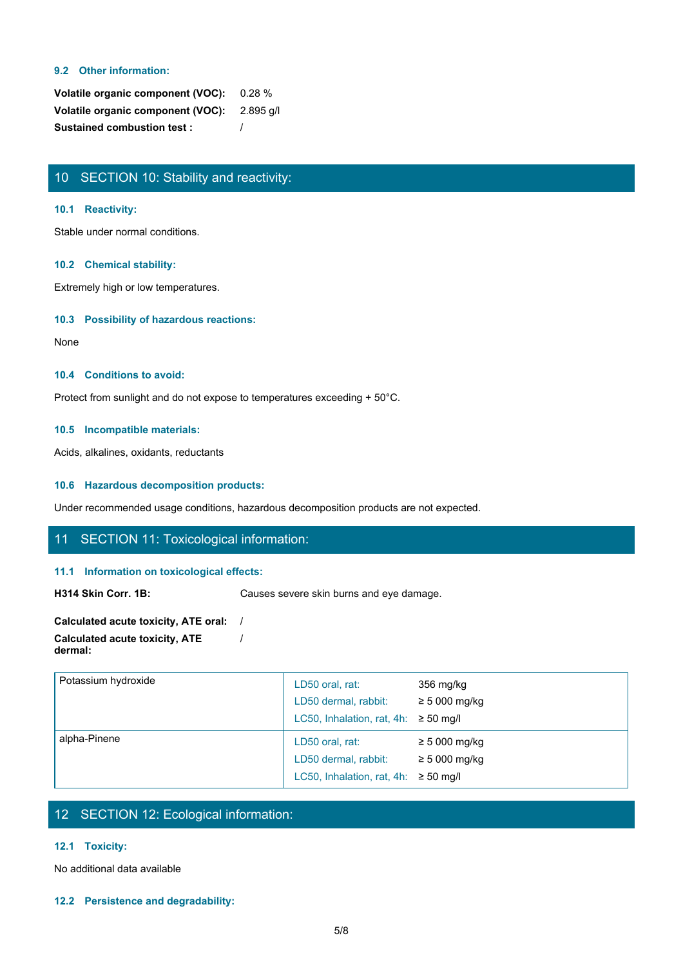#### **9.2 Other information:**

| Volatile organic component (VOC): 0.28 %    |  |
|---------------------------------------------|--|
| Volatile organic component (VOC): 2.895 g/l |  |
| <b>Sustained combustion test:</b>           |  |

## 10 SECTION 10: Stability and reactivity:

#### **10.1 Reactivity:**

Stable under normal conditions.

#### **10.2 Chemical stability:**

Extremely high or low temperatures.

## **10.3 Possibility of hazardous reactions:**

None with the contract of the contract of the contract of the contract of the contract of the contract of the contract of the contract of the contract of the contract of the contract of the contract of the contract of the

## **10.4 Conditions to avoid:**

Protect from sunlight and do not expose to temperatures exceeding + 50°C.

#### **10.5 Incompatible materials:**

Acids, alkalines, oxidants, reductants

#### **10.6 Hazardous decomposition products:**

Under recommended usage conditions, hazardous decomposition products are not expected.

## 11 SECTION 11: Toxicological information:

### **11.1 Information on toxicological effects:**

H314 Skin Corr. 1B: Causes severe skin burns and eye damage.

| Calculated acute toxicity, ATE oral: |  |
|--------------------------------------|--|
| Calculated acute toxicity, ATE       |  |
| dermal:                              |  |

| Potassium hydroxide | LD50 oral, rat:<br>LD50 dermal, rabbit:   | 356 mg/kg<br>$\geq 5000$ mg/kg |  |
|---------------------|-------------------------------------------|--------------------------------|--|
|                     | LC50, Inhalation, rat, 4h: $\geq$ 50 mg/l |                                |  |
| alpha-Pinene        | LD50 oral, rat:                           | $\geq$ 5 000 mg/kg             |  |
|                     | LD50 dermal, rabbit:                      | $\geq$ 5 000 mg/kg             |  |
|                     | LC50, Inhalation, rat, 4h: $\geq$ 50 mg/l |                                |  |

## 12 SECTION 12: Ecological information:

### **12.1 Toxicity:**

No additional data available

**12.2 Persistence and degradability:**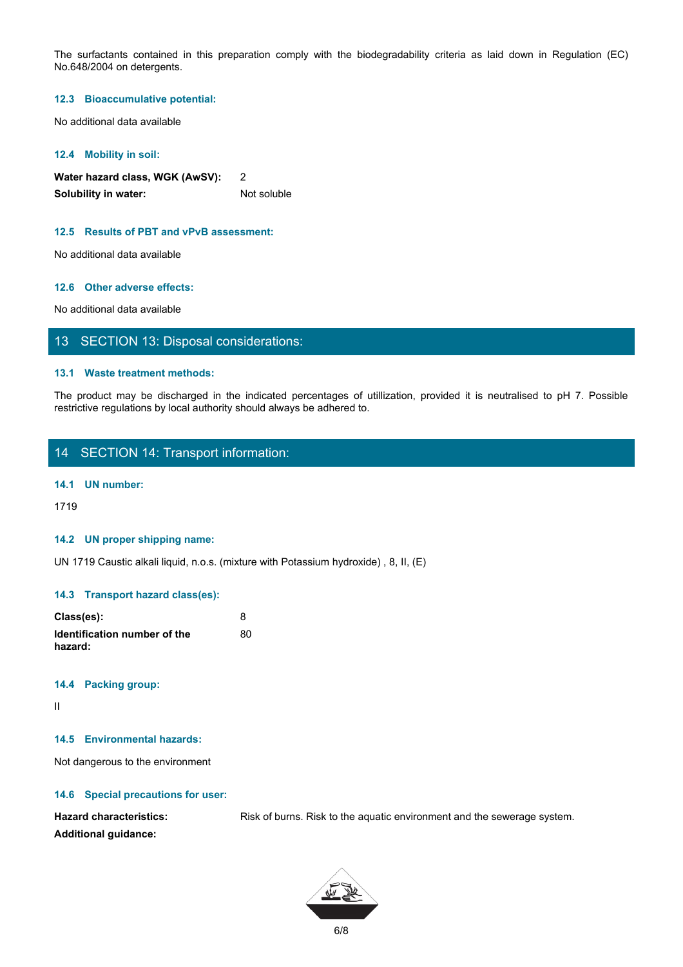The surfactants contained in this preparation comply with the biodegradability criteria as laid down in Regulation (EC)<br>No.648/2004 on detergents.<br>12.3 Bioaccumulative potential:<br>No additional data available No.648/2004 on detergents. The surfactants contained in this preparation comply with the biodegradability criteria as laid down in Regulation (EC)<br>12.3 Bloaccumulative potential:<br>No additional data available<br>Water hazard class, WGK (AWSV):<br>2<br>Altothi

#### **12.3 Bioaccumulative potential:**

No additional data available

#### **12.4 Mobility in soil:**

**Water hazard class, WGK (AwSV):** 2 **Solubility in water:** Not soluble

#### **12.5 Results of PBT and vPvB assessment:**

No additional data available

#### **12.6 Other adverse effects:**

No additional data available

## 13 SECTION 13: Disposal considerations:

#### **13.1 Waste treatment methods:**

restrictive regulations by local authority should always be adhered to.

## 14 SECTION 14: Transport information:

## **14.1 UN number:**

1719

#### **14.2 UN proper shipping name:**

UN 1719 Caustic alkali liquid, n.o.s. (mixture with Potassium hydroxide) , 8, II, (E)

#### **14.3 Transport hazard class(es):**

| Class(es):                              |    |
|-----------------------------------------|----|
| Identification number of the<br>hazard: | 80 |

#### **14.4 Packing group:**

II and the state of the state of the state of the state of the state of the state of the state of the state of

#### **14.5 Environmental hazards:**

Not dangerous to the environment

#### **14.6 Special precautions for user:**

Hazard characteristics: Risk of burns. Risk to the aquatic environment and the sewerage system. **Additional guidance:**

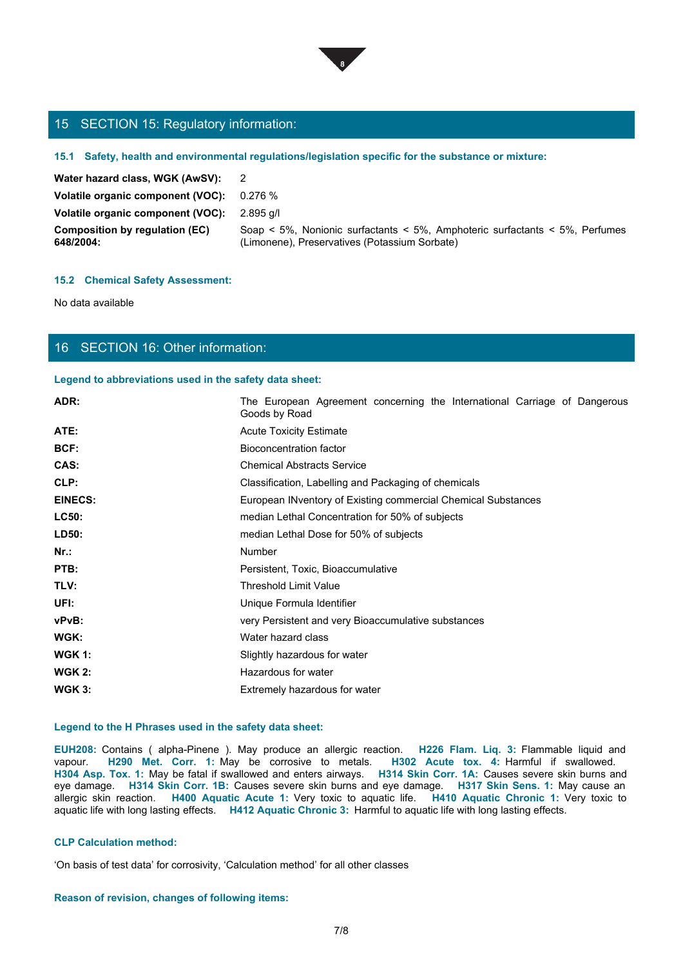

## 15 SECTION 15: Regulatory information:

#### **15.1 Safety, health and environmental regulations/legislation specific for the substance or mixture:**

| 15 SECTION 15: Regulatory information:             |                                                                                                                              |
|----------------------------------------------------|------------------------------------------------------------------------------------------------------------------------------|
|                                                    | 15.1 Safety, health and environmental regulations/legislation specific for the substance or mixture:                         |
| Water hazard class, WGK (AwSV):                    | $\overline{2}$                                                                                                               |
| Volatile organic component (VOC):                  | 0.276%                                                                                                                       |
| Volatile organic component (VOC):                  | 2.895 g/l                                                                                                                    |
| <b>Composition by regulation (EC)</b><br>648/2004: | Soap < 5%, Nonionic surfactants < 5%, Amphoteric surfactants < 5%, Perfumes<br>(Limonene), Preservatives (Potassium Sorbate) |
|                                                    |                                                                                                                              |
| <b>15.2 Chemical Safety Assessment:</b>            |                                                                                                                              |
| No data available                                  |                                                                                                                              |
|                                                    |                                                                                                                              |

#### **15.2 Chemical Safety Assessment:**

## 16 SECTION 16: Other information:

#### **Legend to abbreviations used in the safety data sheet:**

| 15 SECTION 15: Regulatory information:                 |                                                                                                                                                                                                                                                                                                                                                                                                                                                                                                                                                                                                                                                                                        |
|--------------------------------------------------------|----------------------------------------------------------------------------------------------------------------------------------------------------------------------------------------------------------------------------------------------------------------------------------------------------------------------------------------------------------------------------------------------------------------------------------------------------------------------------------------------------------------------------------------------------------------------------------------------------------------------------------------------------------------------------------------|
|                                                        | 15.1 Safety, health and environmental regulations/legislation specific for the substance or mixture:                                                                                                                                                                                                                                                                                                                                                                                                                                                                                                                                                                                   |
| Water hazard class, WGK (AwSV):                        | $\overline{2}$                                                                                                                                                                                                                                                                                                                                                                                                                                                                                                                                                                                                                                                                         |
| Volatile organic component (VOC):                      | 0.276%                                                                                                                                                                                                                                                                                                                                                                                                                                                                                                                                                                                                                                                                                 |
| Volatile organic component (VOC):                      | 2.895 g/l                                                                                                                                                                                                                                                                                                                                                                                                                                                                                                                                                                                                                                                                              |
| <b>Composition by regulation (EC)</b><br>648/2004:     | Soap < 5%, Nonionic surfactants < 5%, Amphoteric surfactants < 5%, Perfumes<br>(Limonene), Preservatives (Potassium Sorbate)                                                                                                                                                                                                                                                                                                                                                                                                                                                                                                                                                           |
| <b>15.2 Chemical Safety Assessment:</b>                |                                                                                                                                                                                                                                                                                                                                                                                                                                                                                                                                                                                                                                                                                        |
| No data available                                      |                                                                                                                                                                                                                                                                                                                                                                                                                                                                                                                                                                                                                                                                                        |
|                                                        |                                                                                                                                                                                                                                                                                                                                                                                                                                                                                                                                                                                                                                                                                        |
| 16 SECTION 16: Other information:                      |                                                                                                                                                                                                                                                                                                                                                                                                                                                                                                                                                                                                                                                                                        |
| Legend to abbreviations used in the safety data sheet: |                                                                                                                                                                                                                                                                                                                                                                                                                                                                                                                                                                                                                                                                                        |
| ADR:                                                   | The European Agreement concerning the International Carriage of Dangerous<br>Goods by Road                                                                                                                                                                                                                                                                                                                                                                                                                                                                                                                                                                                             |
| ATE:                                                   | <b>Acute Toxicity Estimate</b>                                                                                                                                                                                                                                                                                                                                                                                                                                                                                                                                                                                                                                                         |
| BCF:                                                   | <b>Bioconcentration factor</b>                                                                                                                                                                                                                                                                                                                                                                                                                                                                                                                                                                                                                                                         |
| CAS:                                                   | <b>Chemical Abstracts Service</b>                                                                                                                                                                                                                                                                                                                                                                                                                                                                                                                                                                                                                                                      |
| CLP:                                                   | Classification, Labelling and Packaging of chemicals                                                                                                                                                                                                                                                                                                                                                                                                                                                                                                                                                                                                                                   |
| <b>EINECS:</b>                                         | European INventory of Existing commercial Chemical Substances                                                                                                                                                                                                                                                                                                                                                                                                                                                                                                                                                                                                                          |
| LC50:                                                  | median Lethal Concentration for 50% of subjects                                                                                                                                                                                                                                                                                                                                                                                                                                                                                                                                                                                                                                        |
| LD50:                                                  | median Lethal Dose for 50% of subjects                                                                                                                                                                                                                                                                                                                                                                                                                                                                                                                                                                                                                                                 |
| $Nr.$ :                                                | Number                                                                                                                                                                                                                                                                                                                                                                                                                                                                                                                                                                                                                                                                                 |
| PTB:                                                   | Persistent, Toxic, Bioaccumulative                                                                                                                                                                                                                                                                                                                                                                                                                                                                                                                                                                                                                                                     |
| TLV:                                                   | Threshold Limit Value                                                                                                                                                                                                                                                                                                                                                                                                                                                                                                                                                                                                                                                                  |
| UFI:                                                   | Unique Formula Identifier                                                                                                                                                                                                                                                                                                                                                                                                                                                                                                                                                                                                                                                              |
| vPvB:                                                  | very Persistent and very Bioaccumulative substances                                                                                                                                                                                                                                                                                                                                                                                                                                                                                                                                                                                                                                    |
| WGK:                                                   | Water hazard class                                                                                                                                                                                                                                                                                                                                                                                                                                                                                                                                                                                                                                                                     |
| <b>WGK 1:</b>                                          | Slightly hazardous for water                                                                                                                                                                                                                                                                                                                                                                                                                                                                                                                                                                                                                                                           |
| <b>WGK 2:</b>                                          | Hazardous for water                                                                                                                                                                                                                                                                                                                                                                                                                                                                                                                                                                                                                                                                    |
| <b>WGK 3:</b>                                          | Extremely hazardous for water                                                                                                                                                                                                                                                                                                                                                                                                                                                                                                                                                                                                                                                          |
| Legend to the H Phrases used in the safety data sheet: |                                                                                                                                                                                                                                                                                                                                                                                                                                                                                                                                                                                                                                                                                        |
|                                                        | EUH208: Contains (alpha-Pinene). May produce an allergic reaction. H226 Flam. Liq. 3: Flammable liquid and<br>vapour. H290 Met. Corr. 1: May be corrosive to metals. H302 Acute tox. 4: Harmful if swallowed.<br>H304 Asp. Tox. 1: May be fatal if swallowed and enters airways. H314 Skin Corr. 1A: Causes severe skin burns and<br>eye damage. H314 Skin Corr. 1B: Causes severe skin burns and eye damage. H317 Skin Sens. 1: May cause an<br>allergic skin reaction. H400 Aquatic Acute 1: Very toxic to aquatic life. H410 Aquatic Chronic 1: Very toxic to<br>aquatic life with long lasting effects. H412 Aquatic Chronic 3: Harmful to aquatic life with long lasting effects. |
| <b>CLP Calculation method:</b>                         |                                                                                                                                                                                                                                                                                                                                                                                                                                                                                                                                                                                                                                                                                        |
|                                                        | 'On basis of test data' for corrosivity, 'Calculation method' for all other classes                                                                                                                                                                                                                                                                                                                                                                                                                                                                                                                                                                                                    |

#### **Legend to the H Phrases used in the safety data sheet:**

#### **CLP Calculation method:**

#### **Reason of revision, changes of following items:**